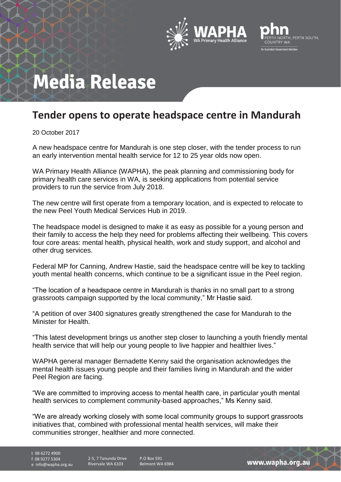



## **Media Release**

## **Tender opens to operate headspace centre in Mandurah**

20 October 2017

A new headspace centre for Mandurah is one step closer, with the tender process to run an early intervention mental health service for 12 to 25 year olds now open.

WA Primary Health Alliance (WAPHA), the peak planning and commissioning body for primary health care services in WA, is seeking applications from potential service providers to run the service from July 2018.

The new centre will first operate from a temporary location, and is expected to relocate to the new Peel Youth Medical Services Hub in 2019.

The headspace model is designed to make it as easy as possible for a young person and their family to access the help they need for problems affecting their wellbeing. This covers four core areas: mental health, physical health, work and study support, and alcohol and other drug services.

Federal MP for Canning, Andrew Hastie, said the headspace centre will be key to tackling youth mental health concerns, which continue to be a significant issue in the Peel region.

"The location of a headspace centre in Mandurah is thanks in no small part to a strong grassroots campaign supported by the local community," Mr Hastie said.

"A petition of over 3400 signatures greatly strengthened the case for Mandurah to the Minister for Health.

"This latest development brings us another step closer to launching a youth friendly mental health service that will help our young people to live happier and healthier lives."

WAPHA general manager Bernadette Kenny said the organisation acknowledges the mental health issues young people and their families living in Mandurah and the wider Peel Region are facing.

"We are committed to improving access to mental health care, in particular youth mental health services to complement community-based approaches," Ms Kenny said.

"We are already working closely with some local community groups to support grassroots initiatives that, combined with professional mental health services, will make their communities stronger, healthier and more connected.

t 08 6272 4900 f 08 9277 5304

e info@wapha.org.au

P.O Box 591 Belmont WA 6984

www.wapha.org.au